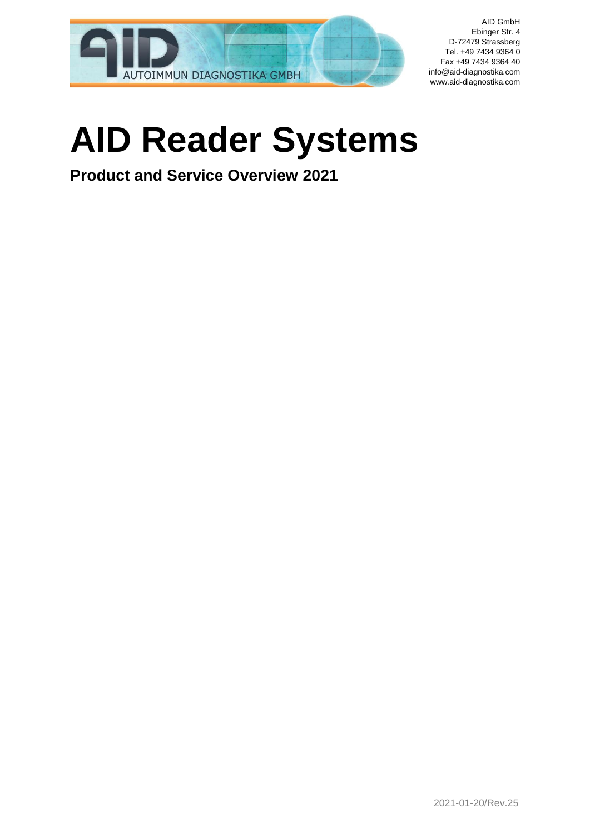

# **AID Reader Systems**

**Product and Service Overview 2021**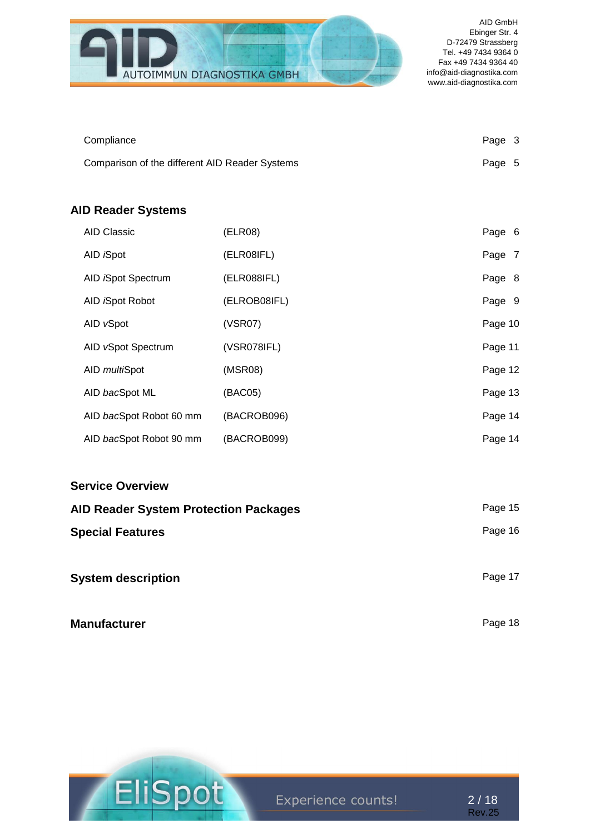

| Compliance                                     | Page 3 |  |
|------------------------------------------------|--------|--|
| Comparison of the different AID Reader Systems | Page 5 |  |

# **AID Reader Systems**

| <b>AID Classic</b>         | (ELR08)      | Page 6  |
|----------------------------|--------------|---------|
| AID <i>i</i> Spot          | (ELR08IFL)   | Page 7  |
| AID <i>i</i> Spot Spectrum | (ELR088IFL)  | Page 8  |
| AID <i>i</i> Spot Robot    | (ELROB08IFL) | Page 9  |
| AID vSpot                  | (VSR07)      | Page 10 |
| AID vSpot Spectrum         | (VSR078IFL)  | Page 11 |
| AID <i>multi</i> Spot      | (MSR08)      | Page 12 |
| AID bacSpot ML             | (BAC05)      | Page 13 |
| AID bacSpot Robot 60 mm    | (BACROB096)  | Page 14 |
| AID bacSpot Robot 90 mm    | (BACROB099)  | Page 14 |

| <b>Service Overview</b>                      |         |
|----------------------------------------------|---------|
| <b>AID Reader System Protection Packages</b> | Page 15 |
| <b>Special Features</b>                      | Page 16 |
| <b>System description</b>                    | Page 17 |
| <b>Manufacturer</b>                          | Page 18 |



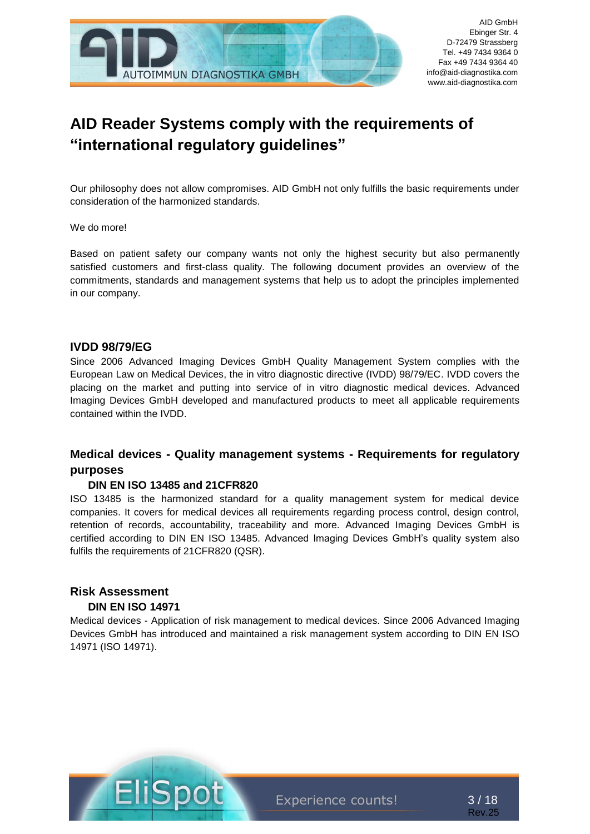

# **AID Reader Systems comply with the requirements of "international regulatory guidelines"**

Our philosophy does not allow compromises. AID GmbH not only fulfills the basic requirements under consideration of the harmonized standards.

#### We do more!

Based on patient safety our company wants not only the highest security but also permanently satisfied customers and first-class quality. The following document provides an overview of the commitments, standards and management systems that help us to adopt the principles implemented in our company.

#### **IVDD 98/79/EG**

Since 2006 Advanced Imaging Devices GmbH Quality Management System complies with the European Law on Medical Devices, the in vitro diagnostic directive (IVDD) 98/79/EC. IVDD covers the placing on the market and putting into service of in vitro diagnostic medical devices. Advanced Imaging Devices GmbH developed and manufactured products to meet all applicable requirements contained within the IVDD.

### **Medical devices - Quality management systems - Requirements for regulatory purposes**

#### **DIN EN ISO 13485 and 21CFR820**

ISO 13485 is the harmonized standard for a quality management system for medical device companies. It covers for medical devices all requirements regarding process control, design control, retention of records, accountability, traceability and more. Advanced Imaging Devices GmbH is certified according to DIN EN ISO 13485. Advanced Imaging Devices GmbH's quality system also fulfils the requirements of 21CFR820 (QSR).

#### **Risk Assessment DIN EN ISO 14971**

Medical devices - Application of risk management to medical devices. Since 2006 Advanced Imaging Devices GmbH has introduced and maintained a risk management system according to DIN EN ISO 14971 (ISO 14971).



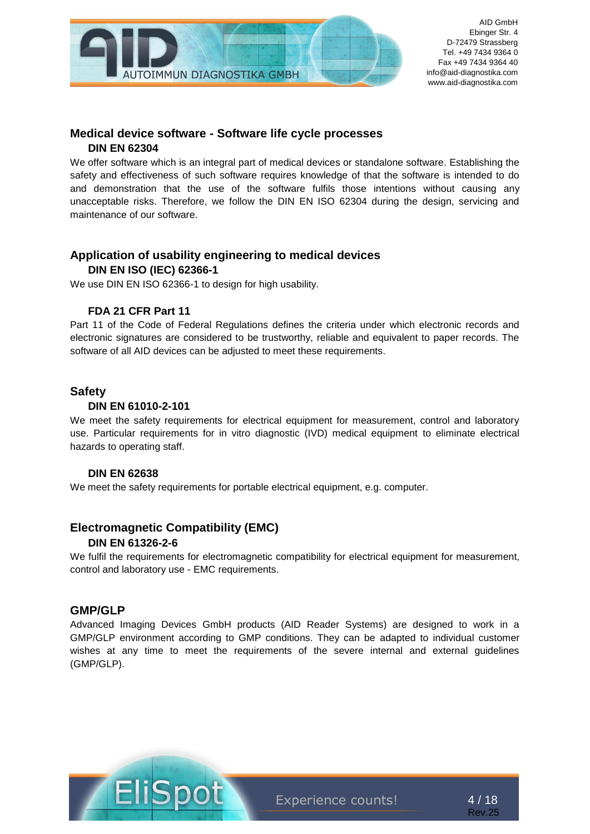

#### **Medical device software - Software life cycle processes DIN EN 62304**

We offer software which is an integral part of medical devices or standalone software. Establishing the safety and effectiveness of such software requires knowledge of that the software is intended to do and demonstration that the use of the software fulfils those intentions without causing any unacceptable risks. Therefore, we follow the DIN EN ISO 62304 during the design, servicing and maintenance of our software.

### **Application of usability engineering to medical devices**

#### **DIN EN ISO (IEC) 62366-1**

We use DIN EN ISO 62366-1 to design for high usability.

#### **FDA 21 CFR Part 11**

Part 11 of the Code of Federal Regulations defines the criteria under which electronic records and electronic signatures are considered to be trustworthy, reliable and equivalent to paper records. The software of all AID devices can be adjusted to meet these requirements.

#### **Safety**

#### **DIN EN 61010-2-101**

We meet the safety requirements for electrical equipment for measurement, control and laboratory use. Particular requirements for in vitro diagnostic (IVD) medical equipment to eliminate electrical hazards to operating staff.

#### **DIN EN 62638**

We meet the safety requirements for portable electrical equipment, e.g. computer.

## **Electromagnetic Compatibility (EMC)**

#### **DIN EN 61326-2-6**

We fulfil the requirements for electromagnetic compatibility for electrical equipment for measurement, control and laboratory use - EMC requirements.

#### **GMP/GLP**

Advanced Imaging Devices GmbH products (AID Reader Systems) are designed to work in a GMP/GLP environment according to GMP conditions. They can be adapted to individual customer wishes at any time to meet the requirements of the severe internal and external guidelines (GMP/GLP).



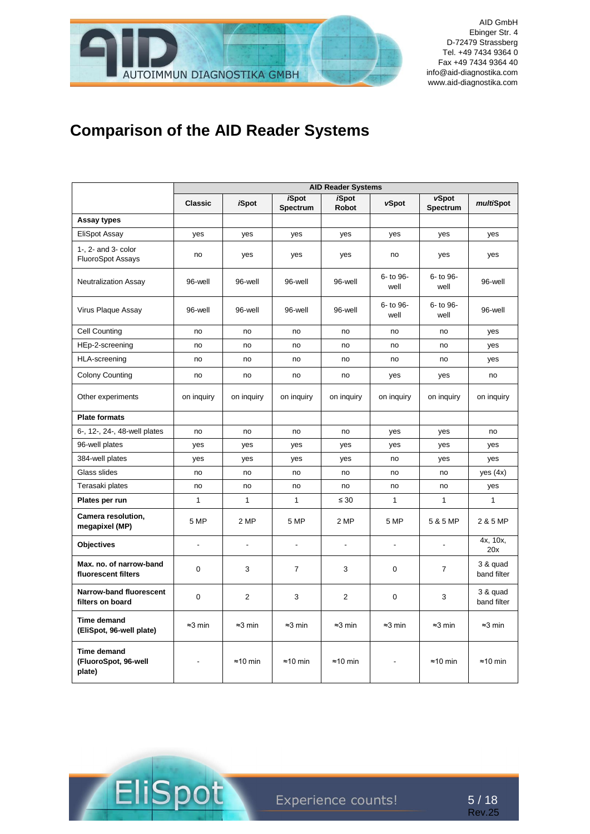

# **Comparison of the AID Reader Systems**

|                                                      |                 |                          |                          | <b>AID Reader Systems</b>    |                   |                          |                         |
|------------------------------------------------------|-----------------|--------------------------|--------------------------|------------------------------|-------------------|--------------------------|-------------------------|
|                                                      | <b>Classic</b>  | <i><b>iSpot</b></i>      | <b>iSpot</b><br>Spectrum | <b>iSpot</b><br><b>Robot</b> | vSpot             | vSpot<br><b>Spectrum</b> | multiSpot               |
| Assay types                                          |                 |                          |                          |                              |                   |                          |                         |
| <b>EliSpot Assay</b>                                 | yes             | yes                      | yes                      | yes                          | yes               | yes                      | yes                     |
| 1-, 2- and 3- color<br><b>FluoroSpot Assays</b>      | no              | yes                      | yes                      | yes                          | no                | yes                      | yes                     |
| <b>Neutralization Assay</b>                          | 96-well         | 96-well                  | 96-well                  | 96-well                      | 6- to 96-<br>well | 6- to 96-<br>well        | 96-well                 |
| Virus Plaque Assay                                   | 96-well         | 96-well                  | 96-well                  | 96-well                      | 6- to 96-<br>well | 6- to 96-<br>well        | 96-well                 |
| Cell Counting                                        | no              | no                       | no                       | no                           | no                | no                       | yes                     |
| HEp-2-screening                                      | no              | no                       | no                       | no                           | no                | no                       | yes                     |
| <b>HLA-screening</b>                                 | no              | no                       | no                       | no                           | no                | no                       | yes                     |
| <b>Colony Counting</b>                               | no              | no                       | no                       | no                           | yes               | yes                      | no                      |
| Other experiments                                    | on inquiry      | on inquiry               | on inquiry               | on inquiry                   | on inquiry        | on inquiry               | on inquiry              |
| <b>Plate formats</b>                                 |                 |                          |                          |                              |                   |                          |                         |
| 6-, 12-, 24-, 48-well plates                         | no              | no                       | no                       | no                           | yes               | yes                      | no                      |
| 96-well plates                                       | yes             | yes                      | yes                      | yes                          | yes               | yes                      | yes                     |
| 384-well plates                                      | yes             | yes                      | yes                      | yes                          | no                | yes                      | yes                     |
| Glass slides                                         | no              | no                       | no                       | no                           | no                | no                       | yes $(4x)$              |
| Terasaki plates                                      | no              | no                       | no                       | no                           | no                | no                       | yes                     |
| Plates per run                                       | $\mathbf{1}$    | $\mathbf{1}$             | $\mathbf{1}$             | $\leq 30$                    | 1                 | $\mathbf{1}$             | 1                       |
| Camera resolution,<br>megapixel (MP)                 | 5 MP            | 2 MP                     | 5 MP                     | 2 MP                         | 5 MP              | 5 & 5 MP                 | 2 & 5 MP                |
| <b>Objectives</b>                                    | $\blacksquare$  | $\overline{\phantom{a}}$ | $\overline{\phantom{a}}$ | ä,                           | $\blacksquare$    | $\blacksquare$           | 4x, 10x,<br>20x         |
| Max. no. of narrow-band<br>fluorescent filters       | 0               | 3                        | $\overline{7}$           | 3                            | 0                 | $\overline{7}$           | 3 & quad<br>band filter |
| Narrow-band fluorescent<br>filters on board          | $\mathbf 0$     | $\overline{2}$           | 3                        | 2                            | 0                 | 3                        | 3 & quad<br>band filter |
| <b>Time demand</b><br>(EliSpot, 96-well plate)       | $\approx$ 3 min | $\approx$ 3 min          | $\approx$ 3 min          | $\approx$ 3 min              | $\approx$ 3 min   | $\approx$ 3 min          | $\approx$ 3 min         |
| <b>Time demand</b><br>(FluoroSpot, 96-well<br>plate) |                 | $\approx$ 10 min         | $\approx$ 10 min         | $\approx$ 10 min             |                   | $\approx$ 10 min         | $\approx$ 10 min        |

Elis

t

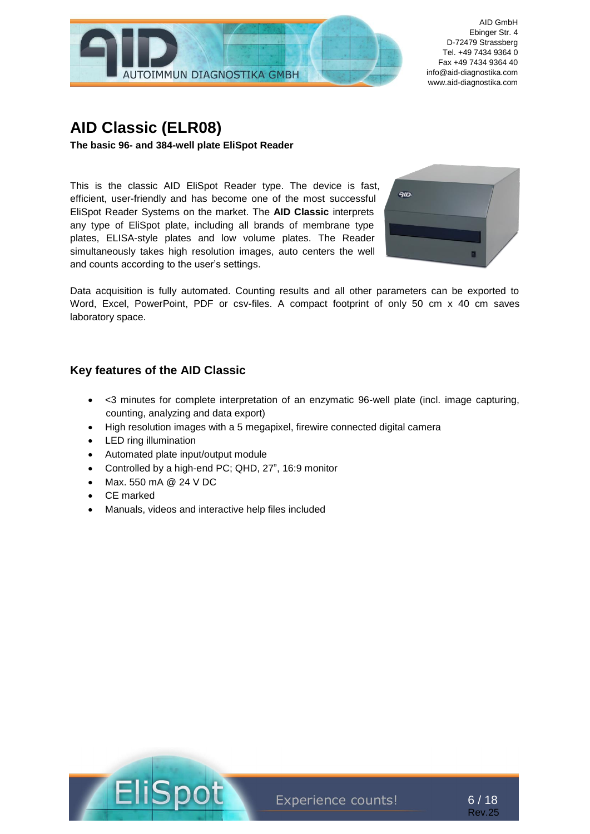

# **AID Classic (ELR08)**

**The basic 96- and 384-well plate EliSpot Reader**

This is the classic AID EliSpot Reader type. The device is fast, efficient, user-friendly and has become one of the most successful EliSpot Reader Systems on the market. The **AID Classic** interprets any type of EliSpot plate, including all brands of membrane type plates, ELISA-style plates and low volume plates. The Reader simultaneously takes high resolution images, auto centers the well and counts according to the user's settings.



Data acquisition is fully automated. Counting results and all other parameters can be exported to Word, Excel, PowerPoint, PDF or csv-files. A compact footprint of only 50 cm x 40 cm saves laboratory space.

### **Key features of the AID Classic**

- <3 minutes for complete interpretation of an enzymatic 96-well plate (incl. image capturing, counting, analyzing and data export)
- High resolution images with a 5 megapixel, firewire connected digital camera
- LED ring illumination
- Automated plate input/output module
- Controlled by a high-end PC; QHD, 27", 16:9 monitor
- Max. 550 mA @ 24 V DC
- CF marked
- Manuals, videos and interactive help files included



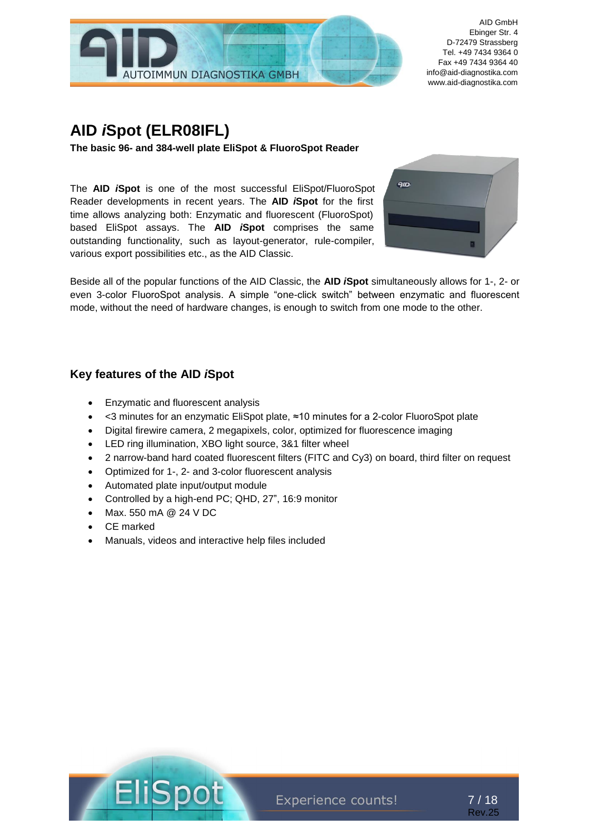

# **AID** *i***Spot (ELR08IFL)**

**The basic 96- and 384-well plate EliSpot & FluoroSpot Reader** 

The **AID** *i***Spot** is one of the most successful EliSpot/FluoroSpot Reader developments in recent years. The **AID** *i***Spot** for the first time allows analyzing both: Enzymatic and fluorescent (FluoroSpot) based EliSpot assays. The **AID** *i***Spot** comprises the same outstanding functionality, such as layout-generator, rule-compiler, various export possibilities etc., as the AID Classic.



Beside all of the popular functions of the AID Classic, the **AID** *i***Spot** simultaneously allows for 1-, 2- or even 3-color FluoroSpot analysis. A simple "one-click switch" between enzymatic and fluorescent mode, without the need of hardware changes, is enough to switch from one mode to the other.

## **Key features of the AID** *i***Spot**

- Enzymatic and fluorescent analysis
- <3 minutes for an enzymatic EliSpot plate, ≈10 minutes for a 2-color FluoroSpot plate
- Digital firewire camera, 2 megapixels, color, optimized for fluorescence imaging
- LED ring illumination, XBO light source, 3&1 filter wheel
- 2 narrow-band hard coated fluorescent filters (FITC and Cy3) on board, third filter on request
- Optimized for 1-, 2- and 3-color fluorescent analysis
- Automated plate input/output module
- Controlled by a high-end PC; QHD, 27", 16:9 monitor
- Max. 550 mA @ 24 V DC
- CE marked
- Manuals, videos and interactive help files included



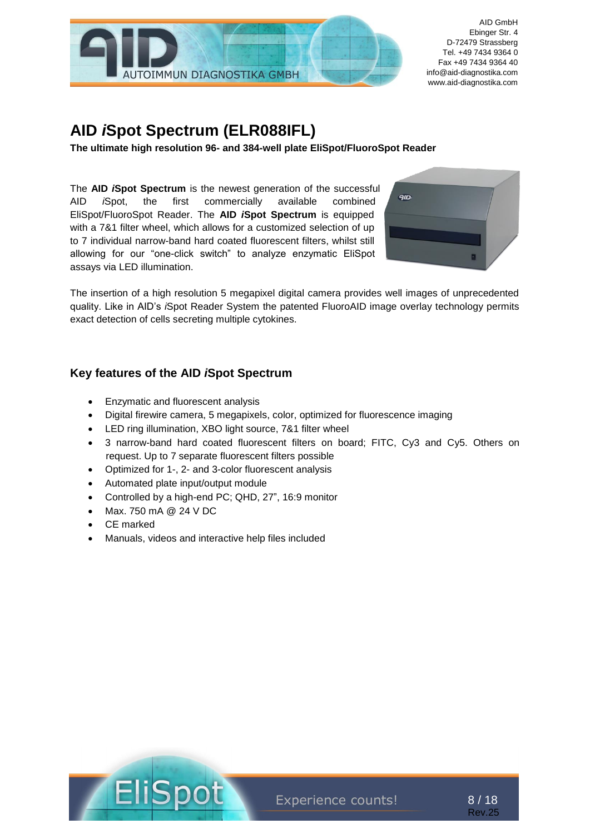

# **AID** *i***Spot Spectrum (ELR088IFL)**

**The ultimate high resolution 96- and 384-well plate EliSpot/FluoroSpot Reader**

The **AID** *i***Spot Spectrum** is the newest generation of the successful AID *i*Spot, the first commercially available combined EliSpot/FluoroSpot Reader. The **AID** *i***Spot Spectrum** is equipped with a 7&1 filter wheel, which allows for a customized selection of up to 7 individual narrow-band hard coated fluorescent filters, whilst still allowing for our "one-click switch" to analyze enzymatic EliSpot assays via LED illumination.



The insertion of a high resolution 5 megapixel digital camera provides well images of unprecedented quality. Like in AID's *i*Spot Reader System the patented FluoroAID image overlay technology permits exact detection of cells secreting multiple cytokines.

# **Key features of the AID** *i***Spot Spectrum**

- Enzymatic and fluorescent analysis
- Digital firewire camera, 5 megapixels, color, optimized for fluorescence imaging
- LED ring illumination, XBO light source, 7&1 filter wheel
- 3 narrow-band hard coated fluorescent filters on board; FITC, Cy3 and Cy5. Others on request. Up to 7 separate fluorescent filters possible
- Optimized for 1-, 2- and 3-color fluorescent analysis
- Automated plate input/output module
- Controlled by a high-end PC; QHD, 27", 16:9 monitor
- Max. 750 mA @ 24 V DC
- CE marked
- Manuals, videos and interactive help files included



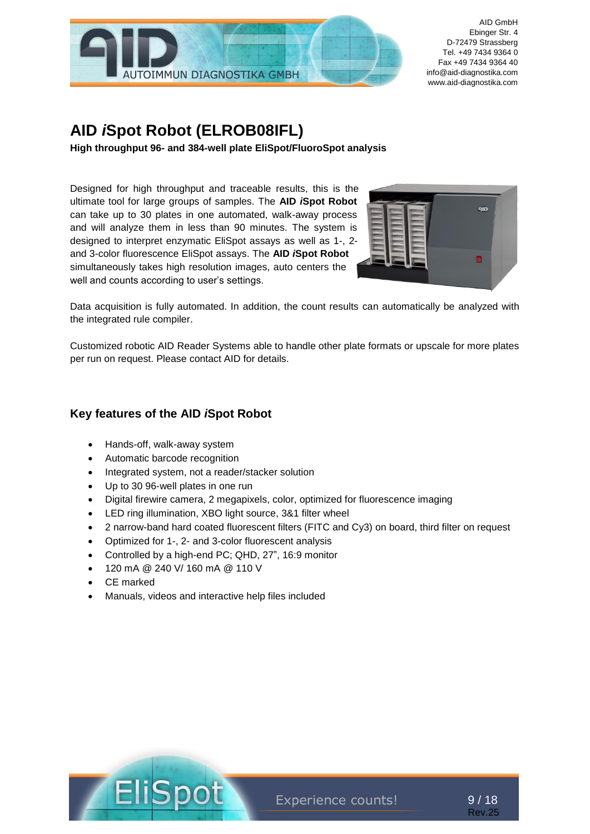

# **AID** *i***Spot Robot (ELROB08IFL)**

**High throughput 96- and 384-well plate EliSpot/FluoroSpot analysis**

Designed for high throughput and traceable results, this is the ultimate tool for large groups of samples. The **AID** *i***Spot Robot** can take up to 30 plates in one automated, walk-away process and will analyze them in less than 90 minutes. The system is designed to interpret enzymatic EliSpot assays as well as 1-, 2 and 3-color fluorescence EliSpot assays. The **AID** *i***Spot Robot** simultaneously takes high resolution images, auto centers the well and counts according to user's settings.



Data acquisition is fully automated. In addition, the count results can automatically be analyzed with the integrated rule compiler.

Customized robotic AID Reader Systems able to handle other plate formats or upscale for more plates per run on request. Please contact AID for details.

#### **Key features of the AID** *i***Spot Robot**

- Hands-off, walk-away system
- Automatic barcode recognition
- Integrated system, not a reader/stacker solution
- Up to 30 96-well plates in one run
- Digital firewire camera, 2 megapixels, color, optimized for fluorescence imaging
- LED ring illumination, XBO light source, 3&1 filter wheel
- 2 narrow-band hard coated fluorescent filters (FITC and Cy3) on board, third filter on request
- Optimized for 1-, 2- and 3-color fluorescent analysis
- Controlled by a high-end PC; QHD, 27", 16:9 monitor
- 120 mA @ 240 V/ 160 mA @ 110 V
- CE marked
- Manuals, videos and interactive help files included



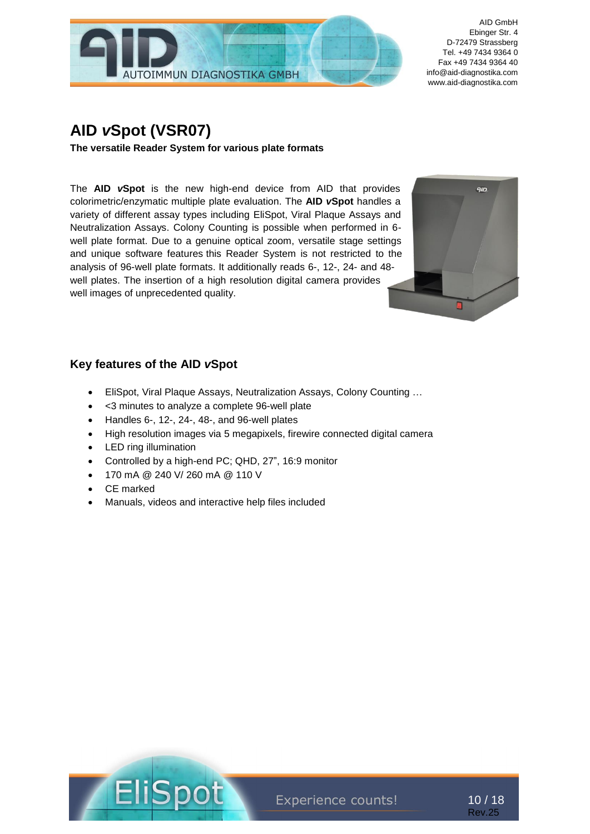

# **AID** *v***Spot (VSR07)**

**The versatile Reader System for various plate formats**

The **AID** *v***Spot** is the new high-end device from AID that provides colorimetric/enzymatic multiple plate evaluation. The **AID** *v***Spot** handles a variety of different assay types including EliSpot, Viral Plaque Assays and Neutralization Assays. Colony Counting is possible when performed in 6 well plate format. Due to a genuine optical zoom, versatile stage settings and unique software features this Reader System is not restricted to the analysis of 96-well plate formats. It additionally reads 6-, 12-, 24- and 48 well plates. The insertion of a high resolution digital camera provides well images of unprecedented quality.



## **Key features of the AID** *v***Spot**

- EliSpot, Viral Plaque Assays, Neutralization Assays, Colony Counting …
- <3 minutes to analyze a complete 96-well plate
- Handles 6-, 12-, 24-, 48-, and 96-well plates
- High resolution images via 5 megapixels, firewire connected digital camera
- LED ring illumination
- Controlled by a high-end PC; QHD, 27", 16:9 monitor
- 170 mA @ 240 V/ 260 mA @ 110 V
- CE marked
- Manuals, videos and interactive help files included



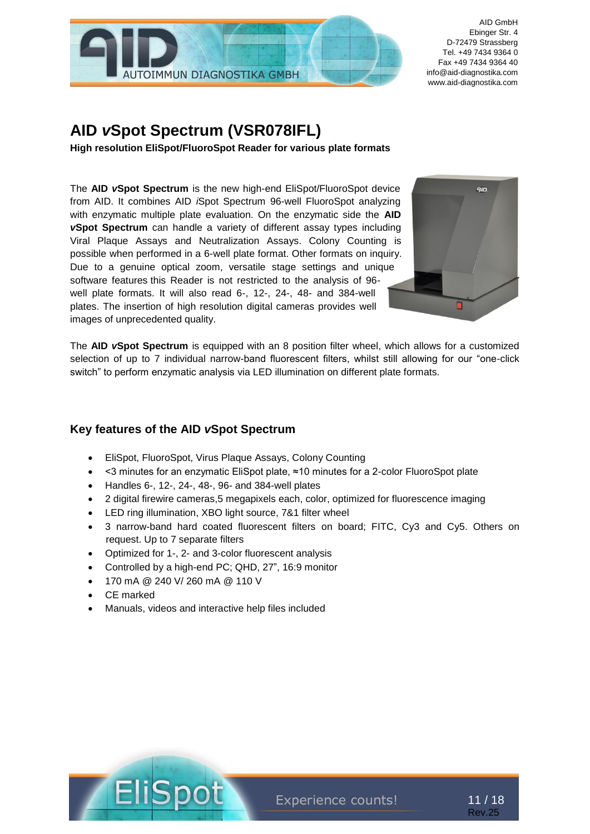

# **AID** *v***Spot Spectrum (VSR078IFL)**

**High resolution EliSpot/FluoroSpot Reader for various plate formats**

The **AID** *v***Spot Spectrum** is the new high-end EliSpot/FluoroSpot device from AID. It combines AID *i*Spot Spectrum 96-well FluoroSpot analyzing with enzymatic multiple plate evaluation. On the enzymatic side the **AID**  *v***Spot Spectrum** can handle a variety of different assay types including Viral Plaque Assays and Neutralization Assays. Colony Counting is possible when performed in a 6-well plate format. Other formats on inquiry. Due to a genuine optical zoom, versatile stage settings and unique software features this Reader is not restricted to the analysis of 96 well plate formats. It will also read 6-, 12-, 24-, 48- and 384-well plates. The insertion of high resolution digital cameras provides well images of unprecedented quality.



The **AID** *v***Spot Spectrum** is equipped with an 8 position filter wheel, which allows for a customized selection of up to 7 individual narrow-band fluorescent filters, whilst still allowing for our "one-click switch" to perform enzymatic analysis via LED illumination on different plate formats.

## **Key features of the AID** *v***Spot Spectrum**

- EliSpot, FluoroSpot, Virus Plaque Assays, Colony Counting
- <3 minutes for an enzymatic EliSpot plate, ≈10 minutes for a 2-color FluoroSpot plate
- Handles 6-, 12-, 24-, 48-, 96- and 384-well plates
- 2 digital firewire cameras,5 megapixels each, color, optimized for fluorescence imaging
- LED ring illumination, XBO light source, 7&1 filter wheel
- 3 narrow-band hard coated fluorescent filters on board; FITC, Cy3 and Cy5. Others on request. Up to 7 separate filters
- Optimized for 1-, 2- and 3-color fluorescent analysis
- Controlled by a high-end PC; QHD, 27", 16:9 monitor
- 170 mA @ 240 V/ 260 mA @ 110 V
- CE marked
- Manuals, videos and interactive help files included



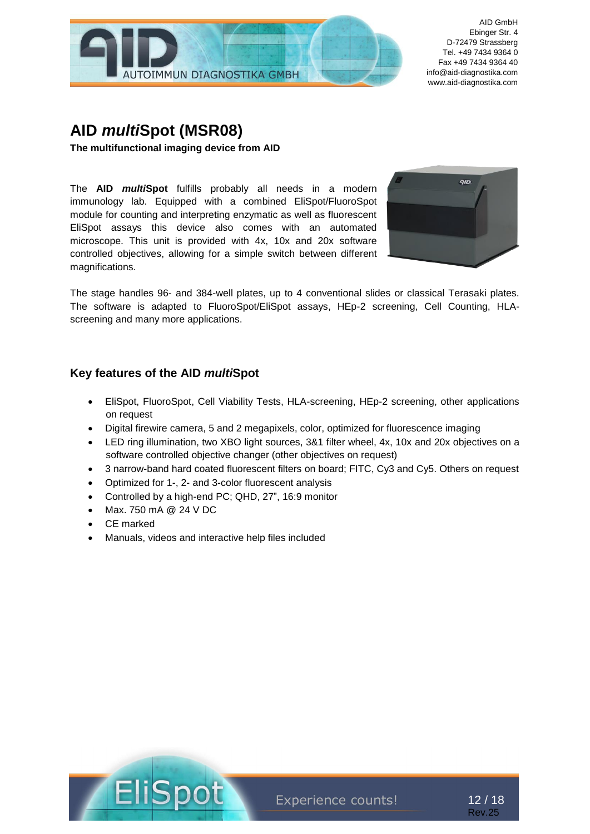

# **AID** *multi***Spot (MSR08)**

**The multifunctional imaging device from AID**

The **AID** *multi***Spot** fulfills probably all needs in a modern immunology lab. Equipped with a combined EliSpot/FluoroSpot module for counting and interpreting enzymatic as well as fluorescent EliSpot assays this device also comes with an automated microscope. This unit is provided with 4x, 10x and 20x software controlled objectives, allowing for a simple switch between different magnifications.



The stage handles 96- and 384-well plates, up to 4 conventional slides or classical Terasaki plates. The software is adapted to FluoroSpot/EliSpot assays, HEp-2 screening, Cell Counting, HLAscreening and many more applications.

### **Key features of the AID** *multi***Spot**

- EliSpot, FluoroSpot, Cell Viability Tests, HLA-screening, HEp-2 screening, other applications on request
- Digital firewire camera, 5 and 2 megapixels, color, optimized for fluorescence imaging
- LED ring illumination, two XBO light sources, 3&1 filter wheel, 4x, 10x and 20x objectives on a software controlled objective changer (other objectives on request)
- 3 narrow-band hard coated fluorescent filters on board; FITC, Cy3 and Cy5. Others on request
- Optimized for 1-, 2- and 3-color fluorescent analysis
- Controlled by a high-end PC; QHD, 27", 16:9 monitor
- Max. 750 mA @ 24 V DC
- CE marked
- Manuals, videos and interactive help files included



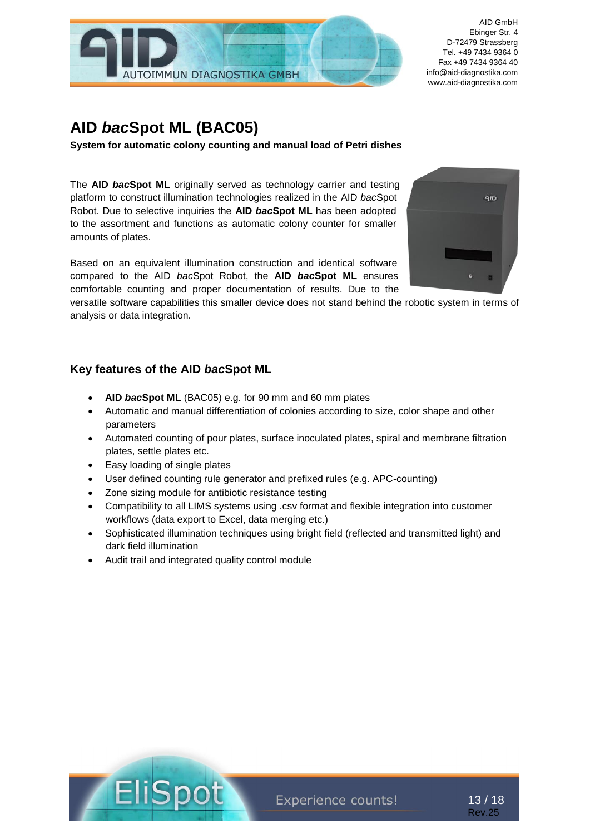

# **AID** *bac***Spot ML (BAC05)**

**System for automatic colony counting and manual load of Petri dishes**

The **AID** *bac***Spot ML** originally served as technology carrier and testing platform to construct illumination technologies realized in the AID *bac*Spot Robot. Due to selective inquiries the **AID** *bac***Spot ML** has been adopted to the assortment and functions as automatic colony counter for smaller amounts of plates.

Based on an equivalent illumination construction and identical software compared to the AID *bac*Spot Robot, the **AID** *bac***Spot ML** ensures comfortable counting and proper documentation of results. Due to the

versatile software capabilities this smaller device does not stand behind the robotic system in terms of analysis or data integration.

### **Key features of the AID** *bac***Spot ML**

- **AID** *bac***Spot ML** (BAC05) e.g. for 90 mm and 60 mm plates
- Automatic and manual differentiation of colonies according to size, color shape and other parameters
- Automated counting of pour plates, surface inoculated plates, spiral and membrane filtration plates, settle plates etc.
- Easy loading of single plates
- User defined counting rule generator and prefixed rules (e.g. APC-counting)
- Zone sizing module for antibiotic resistance testing
- Compatibility to all LIMS systems using .csv format and flexible integration into customer workflows (data export to Excel, data merging etc.)
- Sophisticated illumination techniques using bright field (reflected and transmitted light) and dark field illumination
- Audit trail and integrated quality control module







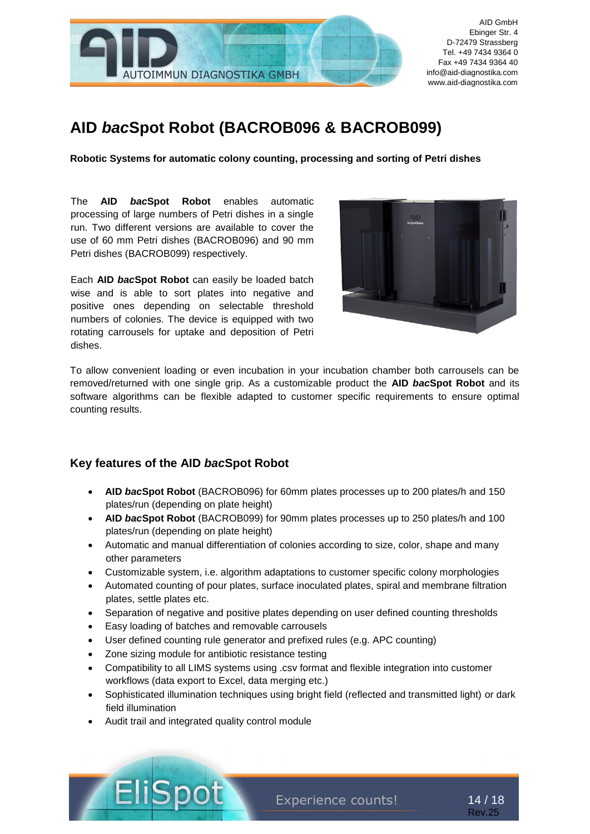

# **AID** *bac***Spot Robot (BACROB096 & BACROB099)**

**Robotic Systems for automatic colony counting, processing and sorting of Petri dishes**

The **AID** *bac***Spot Robot** enables automatic processing of large numbers of Petri dishes in a single run. Two different versions are available to cover the use of 60 mm Petri dishes (BACROB096) and 90 mm Petri dishes (BACROB099) respectively.

Each **AID** *bac***Spot Robot** can easily be loaded batch wise and is able to sort plates into negative and positive ones depending on selectable threshold numbers of colonies. The device is equipped with two rotating carrousels for uptake and deposition of Petri dishes.



To allow convenient loading or even incubation in your incubation chamber both carrousels can be removed/returned with one single grip. As a customizable product the **AID** *bac***Spot Robot** and its software algorithms can be flexible adapted to customer specific requirements to ensure optimal counting results.

### **Key features of the AID** *bac***Spot Robot**

- **AID** *bac***Spot Robot** (BACROB096) for 60mm plates processes up to 200 plates/h and 150 plates/run (depending on plate height)
- **AID** *bac***Spot Robot** (BACROB099) for 90mm plates processes up to 250 plates/h and 100 plates/run (depending on plate height)
- Automatic and manual differentiation of colonies according to size, color, shape and many other parameters
- Customizable system, i.e. algorithm adaptations to customer specific colony morphologies
- Automated counting of pour plates, surface inoculated plates, spiral and membrane filtration plates, settle plates etc.
- Separation of negative and positive plates depending on user defined counting thresholds
- Easy loading of batches and removable carrousels
- User defined counting rule generator and prefixed rules (e.g. APC counting)
- Zone sizing module for antibiotic resistance testing
- Compatibility to all LIMS systems using .csv format and flexible integration into customer workflows (data export to Excel, data merging etc.)
- Sophisticated illumination techniques using bright field (reflected and transmitted light) or dark field illumination
- Audit trail and integrated quality control module

Experience counts!

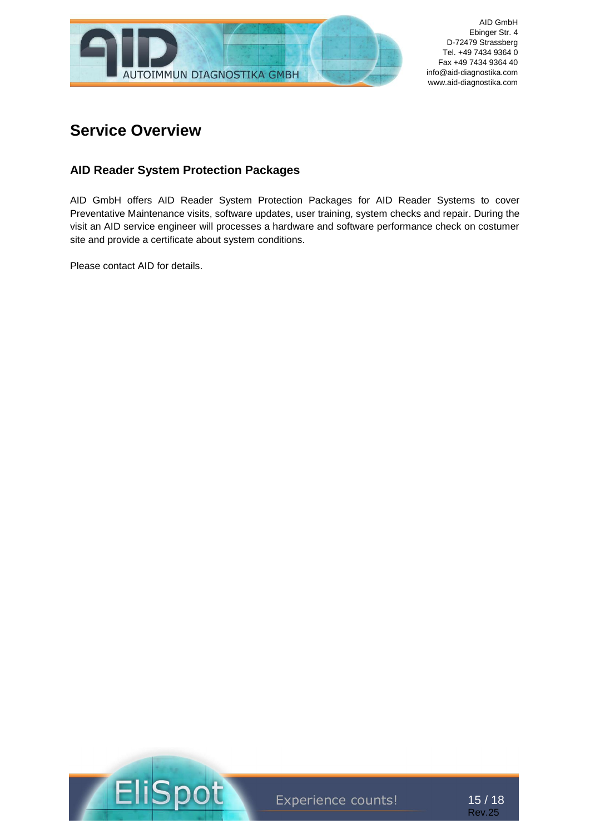

# **Service Overview**

# **AID Reader System Protection Packages**

AID GmbH offers AID Reader System Protection Packages for AID Reader Systems to cover Preventative Maintenance visits, software updates, user training, system checks and repair. During the visit an AID service engineer will processes a hardware and software performance check on costumer site and provide a certificate about system conditions.

Please contact AID for details.



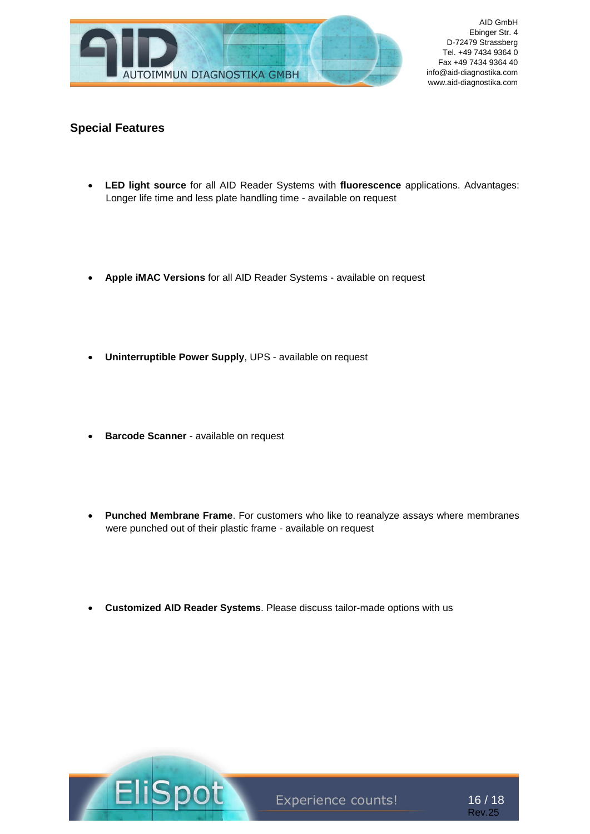

### **Special Features**

- **LED light source** for all AID Reader Systems with **fluorescence** applications. Advantages: Longer life time and less plate handling time - available on request
- **Apple iMAC Versions** for all AID Reader Systems available on request
- **Uninterruptible Power Supply**, UPS available on request
- **Barcode Scanner** available on request
- **Punched Membrane Frame**. For customers who like to reanalyze assays where membranes were punched out of their plastic frame - available on request
- **Customized AID Reader Systems**. Please discuss tailor-made options with us



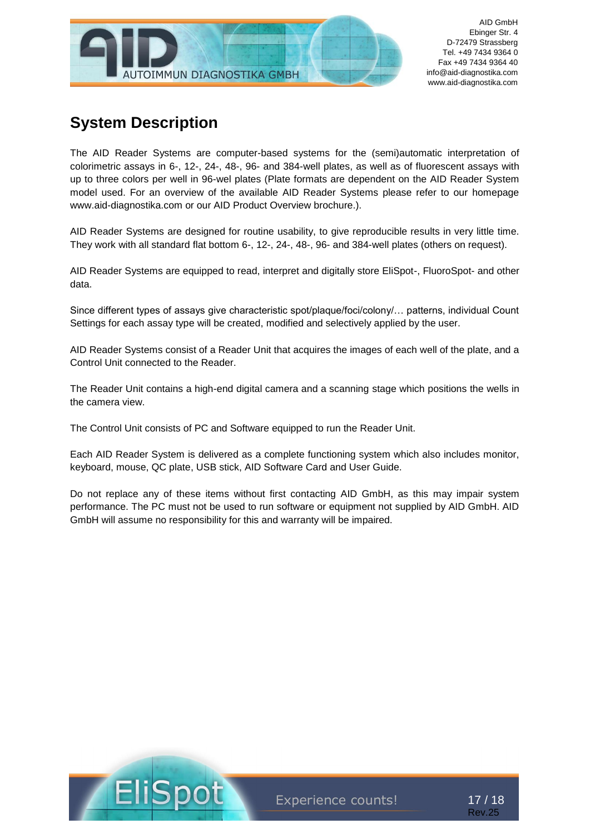

# **System Description**

The AID Reader Systems are computer-based systems for the (semi)automatic interpretation of colorimetric assays in 6-, 12-, 24-, 48-, 96- and 384-well plates, as well as of fluorescent assays with up to three colors per well in 96-wel plates (Plate formats are dependent on the AID Reader System model used. For an overview of the available AID Reader Systems please refer to our homepage www.aid-diagnostika.com or our AID Product Overview brochure.).

AID Reader Systems are designed for routine usability, to give reproducible results in very little time. They work with all standard flat bottom 6-, 12-, 24-, 48-, 96- and 384-well plates (others on request).

AID Reader Systems are equipped to read, interpret and digitally store EliSpot-, FluoroSpot- and other data.

Since different types of assays give characteristic spot/plaque/foci/colony/… patterns, individual Count Settings for each assay type will be created, modified and selectively applied by the user.

AID Reader Systems consist of a Reader Unit that acquires the images of each well of the plate, and a Control Unit connected to the Reader.

The Reader Unit contains a high-end digital camera and a scanning stage which positions the wells in the camera view.

The Control Unit consists of PC and Software equipped to run the Reader Unit.

Each AID Reader System is delivered as a complete functioning system which also includes monitor, keyboard, mouse, QC plate, USB stick, AID Software Card and User Guide.

Do not replace any of these items without first contacting AID GmbH, as this may impair system performance. The PC must not be used to run software or equipment not supplied by AID GmbH. AID GmbH will assume no responsibility for this and warranty will be impaired.